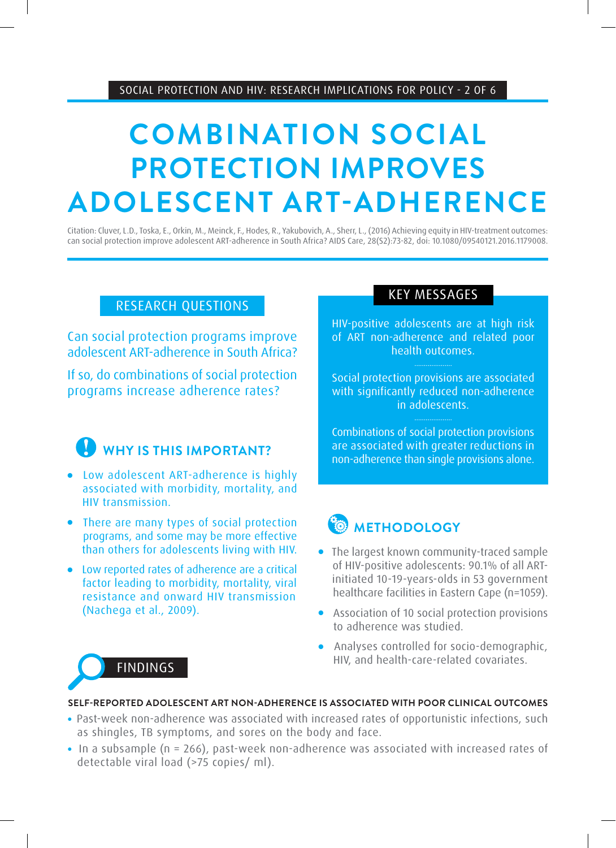SOCIAL PROTECTION AND HIV: RESEARCH IMPLICATIONS FOR POLICY - 2 OF 6

# **COMBINATION SOCIAL PROTECTION IMPROVES ADOLESCENT ART-ADHERENCE**

Citation: Cluver, L.D., Toska, E., Orkin, M., Meinck, F., Hodes, R., Yakubovich, A., Sherr, L., (2016) Achieving equity in HIV-treatment outcomes: can social protection improve adolescent ART-adherence in South Africa? AIDS Care, 28(S2):73-82, doi: 10.1080/09540121.2016.1179008.

### RESEARCH QUESTIONS

Can social protection programs improve adolescent ART-adherence in South Africa?

If so, do combinations of social protection programs increase adherence rates?

## WHY IS THIS IMPORTANT?

- Low adolescent ART-adherence is highly associated with morbidity, mortality, and HIV transmission.
- There are many types of social protection programs, and some may be more effective than others for adolescents living with HIV.
- Low reported rates of adherence are a critical factor leading to morbidity, mortality, viral resistance and onward HIV transmission (Nachega et al., 2009).

FINDINGS

### KEY MESSAGES

HIV-positive adolescents are at high risk of ART non-adherence and related poor health outcomes.

Social protection provisions are associated with significantly reduced non-adherence

in adolescents.

Combinations of social protection provisions are associated with greater reductions in non-adherence than single provisions alone.

# **<b>ED** METHODOLOGY

- The largest known community-traced sample of HIV-positive adolescents: 90.1% of all ART initiated 10-19-years-olds in 53 government healthcare facilities in Eastern Cape (n=1059).
- **•** Association of 10 social protection provisions to adherence was studied.
- **•** Analyses controlled for socio-demographic, HIV, and health-care-related covariates.



- Past-week non-adherence was associated with increased rates of opportunistic infections, such as shingles, TB symptoms, and sores on the body and face.
- $\cdot$  In a subsample (n = 266), past-week non-adherence was associated with increased rates of detectable viral load (>75 copies/ ml).